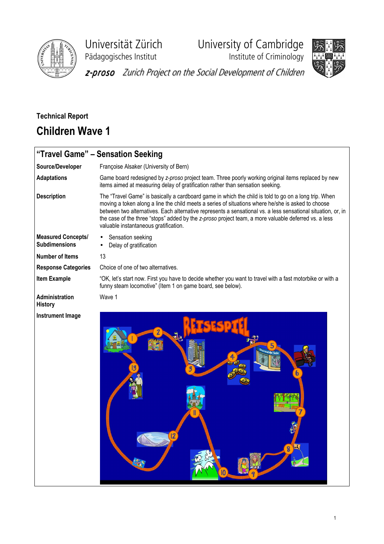

Universität Zürich University of Cambridge

Pädagogisches Institut **Institute of Criminology** 



z-proso Zurich Project on the Social Development of Children

## Technical Report Children Wave 1

|                                                   | "Travel Game" - Sensation Seeking                                                                                                                                                                                                                                                                                                                                                                                                                                            |
|---------------------------------------------------|------------------------------------------------------------------------------------------------------------------------------------------------------------------------------------------------------------------------------------------------------------------------------------------------------------------------------------------------------------------------------------------------------------------------------------------------------------------------------|
| Source/Developer                                  | Françoise Alsaker (University of Bern)                                                                                                                                                                                                                                                                                                                                                                                                                                       |
| <b>Adaptations</b>                                | Game board redesigned by z-proso project team. Three poorly working original items replaced by new<br>items aimed at measuring delay of gratification rather than sensation seeking.                                                                                                                                                                                                                                                                                         |
| <b>Description</b>                                | The "Travel Game" is basically a cardboard game in which the child is told to go on a long trip. When<br>moving a token along a line the child meets a series of situations where he/she is asked to choose<br>between two alternatives. Each alternative represents a sensational vs. a less sensational situation, or, in<br>the case of the three "stops" added by the z-proso project team, a more valuable deferred vs. a less<br>valuable instantaneous gratification. |
| <b>Measured Concepts/</b><br><b>Subdimensions</b> | Sensation seeking<br>Delay of gratification                                                                                                                                                                                                                                                                                                                                                                                                                                  |
| <b>Number of Items</b>                            | 13                                                                                                                                                                                                                                                                                                                                                                                                                                                                           |
| <b>Response Categories</b>                        | Choice of one of two alternatives.                                                                                                                                                                                                                                                                                                                                                                                                                                           |
| <b>Item Example</b>                               | "OK, let's start now. First you have to decide whether you want to travel with a fast motorbike or with a<br>funny steam locomotive" (Item 1 on game board, see below).                                                                                                                                                                                                                                                                                                      |
| <b>Administration</b><br><b>History</b>           | Wave 1                                                                                                                                                                                                                                                                                                                                                                                                                                                                       |
| <b>Instrument Image</b>                           |                                                                                                                                                                                                                                                                                                                                                                                                                                                                              |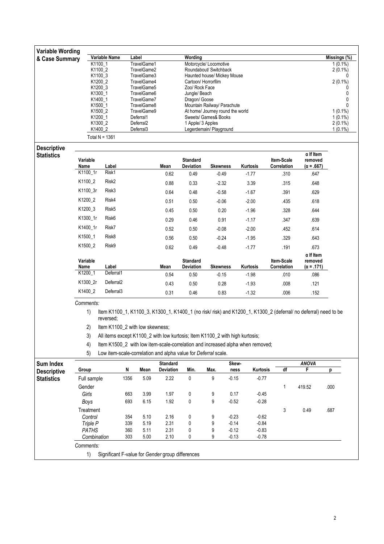| <b>Variable Wording</b>                 |                 |                                 |                                    |                                                                |                                |                                                  |                                                                                |                                                                                                                 |                   |                                       |  |  |  |
|-----------------------------------------|-----------------|---------------------------------|------------------------------------|----------------------------------------------------------------|--------------------------------|--------------------------------------------------|--------------------------------------------------------------------------------|-----------------------------------------------------------------------------------------------------------------|-------------------|---------------------------------------|--|--|--|
| & Case Summary                          |                 | Variable Name                   | Label                              |                                                                | Wording                        |                                                  |                                                                                |                                                                                                                 |                   | Missings (%)<br>$\overline{1(0.1\%)}$ |  |  |  |
|                                         |                 | K1100_1<br>K1100 2              | TravelGame1<br>TravelGame2         |                                                                |                                | Motorcycle/ Locomotive<br>Roundabout/ Switchback |                                                                                |                                                                                                                 |                   |                                       |  |  |  |
|                                         |                 | K1100_3                         | TravelGame3                        |                                                                | Haunted house/ Mickey Mouse    | $2(0.1\%)$<br>0                                  |                                                                                |                                                                                                                 |                   |                                       |  |  |  |
|                                         |                 | K1200_2                         | TravelGame4                        |                                                                | Cartoon/ Horrorfilm            |                                                  |                                                                                |                                                                                                                 |                   | $2(0.1\%)$                            |  |  |  |
|                                         |                 | K1200_3                         | TravelGame5                        |                                                                | Zoo/ Rock Face                 |                                                  |                                                                                |                                                                                                                 |                   | 0                                     |  |  |  |
|                                         |                 | K1300_1<br>K1400_1              | TravelGame6<br>TravelGame7         |                                                                | Jungle/ Beach<br>Dragon/ Goose |                                                  |                                                                                |                                                                                                                 |                   | 0<br>0                                |  |  |  |
| K1500_1<br>K1500_2                      |                 |                                 | TravelGame8                        |                                                                |                                | Mountain Railway/ Parachute                      |                                                                                |                                                                                                                 |                   | 0                                     |  |  |  |
|                                         |                 |                                 | TravelGame9                        |                                                                |                                | At home/ Journey round the world                 |                                                                                |                                                                                                                 |                   | $1(0.1\%)$<br>$1(0.1\%)$              |  |  |  |
|                                         |                 | K1200_1                         | Deferral1                          | Sweets/ Games& Books                                           |                                |                                                  |                                                                                |                                                                                                                 |                   |                                       |  |  |  |
|                                         |                 | K1300_2<br>K1400 2              | Deferral <sub>2</sub><br>Deferral3 | 1 Apple/ 3 Apples<br>Legerdemain/ Playground                   |                                |                                                  |                                                                                |                                                                                                                 |                   |                                       |  |  |  |
|                                         |                 | Total $N = 1361$                |                                    |                                                                |                                |                                                  |                                                                                |                                                                                                                 |                   | $1(0.1\%)$                            |  |  |  |
|                                         |                 |                                 |                                    |                                                                |                                |                                                  |                                                                                |                                                                                                                 |                   |                                       |  |  |  |
| <b>Descriptive</b><br><b>Statistics</b> |                 |                                 |                                    |                                                                |                                |                                                  |                                                                                |                                                                                                                 | $\alpha$ If Item  |                                       |  |  |  |
|                                         | Variable        |                                 |                                    |                                                                | <b>Standard</b>                |                                                  |                                                                                | Item-Scale                                                                                                      | removed           |                                       |  |  |  |
|                                         | Name            | Label                           |                                    | Mean                                                           | Deviation                      | <b>Skewness</b>                                  | Kurtosis                                                                       | Correlation                                                                                                     | $(\alpha = .667)$ |                                       |  |  |  |
|                                         | K1100_1r        | Risk1                           |                                    | 0.62                                                           | 0.49                           | $-0.49$                                          | $-1.77$                                                                        | .310                                                                                                            | .647              |                                       |  |  |  |
|                                         | K1100_2         | Risk <sub>2</sub>               |                                    | 0.88                                                           | 0.33                           | $-2.32$                                          | 3.39                                                                           | .315                                                                                                            | .648              |                                       |  |  |  |
|                                         | K1100_3r        | Risk3                           |                                    | 0.64                                                           | 0.48                           | $-0.58$                                          | $-1.67$                                                                        | .391                                                                                                            | .629              |                                       |  |  |  |
|                                         | K1200_2         | Risk4                           |                                    | 0.51                                                           | 0.50                           | $-0.06$                                          | $-2.00$                                                                        | .435                                                                                                            | .618              |                                       |  |  |  |
|                                         | K1200_3         | Risk <sub>5</sub>               |                                    | 0.45                                                           | 0.50                           | 0.20                                             | $-1.96$                                                                        | .328                                                                                                            | .644              |                                       |  |  |  |
|                                         | K1300_1r        | Risk <sub>6</sub>               |                                    | 0.29                                                           | 0.46                           | 0.91                                             | $-1.17$                                                                        | .347                                                                                                            | .639              |                                       |  |  |  |
|                                         | K1400_1r        | Risk7                           |                                    | 0.52                                                           | 0.50                           | $-0.08$                                          | $-2.00$                                                                        | .452                                                                                                            | .614              |                                       |  |  |  |
|                                         | K1500_1         | Risk8                           |                                    | 0.56                                                           | 0.50                           | $-0.24$                                          | $-1.95$                                                                        | .329                                                                                                            | .643              |                                       |  |  |  |
|                                         | K1500_2         | Risk9                           |                                    | 0.62                                                           | 0.49                           | $-0.48$                                          | $-1.77$                                                                        | .191                                                                                                            | .673              |                                       |  |  |  |
|                                         |                 |                                 |                                    |                                                                |                                |                                                  |                                                                                |                                                                                                                 | $\alpha$ If Item  |                                       |  |  |  |
|                                         | Variable        |                                 |                                    |                                                                | <b>Standard</b>                |                                                  |                                                                                | Item-Scale                                                                                                      | removed           |                                       |  |  |  |
|                                         | Name<br>K1200_1 | Label<br>Deferral1              |                                    | Mean                                                           | Deviation                      | <b>Skewness</b>                                  | Kurtosis                                                                       | Correlation                                                                                                     | $(\alpha = .171)$ |                                       |  |  |  |
|                                         |                 |                                 |                                    | 0.54                                                           | 0.50                           | $-0.15$                                          | $-1.98$                                                                        | .010                                                                                                            | .086              |                                       |  |  |  |
|                                         | K1300_2r        | Deferral <sub>2</sub>           |                                    | 0.43                                                           | 0.50                           | 0.28                                             | $-1.93$                                                                        | .008                                                                                                            | .121              |                                       |  |  |  |
|                                         | K1400_2         | Deferral <sub>3</sub>           |                                    | 0.31                                                           | 0.46                           | 0.83                                             | $-1.32$                                                                        | .006                                                                                                            | .152              |                                       |  |  |  |
|                                         | Comments:       |                                 |                                    |                                                                |                                |                                                  |                                                                                |                                                                                                                 |                   |                                       |  |  |  |
|                                         | 1)              |                                 |                                    |                                                                |                                |                                                  |                                                                                | Item K1100_1, K1100_3, K1300_1, K1400_1 (no risk/ risk) and K1200_1, K1300_2 (deferral/ no deferral) need to be |                   |                                       |  |  |  |
|                                         |                 | reversed:                       |                                    |                                                                |                                |                                                  |                                                                                |                                                                                                                 |                   |                                       |  |  |  |
|                                         | 2)              | Item K1100 2 with low skewness; |                                    |                                                                |                                |                                                  |                                                                                |                                                                                                                 |                   |                                       |  |  |  |
|                                         | 3)              |                                 |                                    |                                                                |                                |                                                  | All items except K1100_2 with low kurtosis; Item K1100_2 with high kurtosis;   |                                                                                                                 |                   |                                       |  |  |  |
|                                         | 4)              |                                 |                                    |                                                                |                                |                                                  | Item K1500_2 with low item-scale-correlation and increased alpha when removed; |                                                                                                                 |                   |                                       |  |  |  |
|                                         | 5)              |                                 |                                    | Low item-scale-correlation and alpha value for Deferral scale. |                                |                                                  |                                                                                |                                                                                                                 |                   |                                       |  |  |  |
| <b>Sum Index</b>                        |                 |                                 |                                    | <b>Standard</b>                                                |                                |                                                  | Skew-                                                                          |                                                                                                                 | <b>ANOVA</b>      |                                       |  |  |  |
| <b>Descriptive</b>                      | Group           |                                 | N<br>Mean                          | Deviation                                                      | Min.                           | Max.                                             | Kurtosis<br>ness                                                               | df                                                                                                              | F                 | р                                     |  |  |  |
| <b>Statistics</b>                       | Full sample     |                                 | 1356<br>5.09                       | 2.22                                                           | 0                              | 9                                                | $-0.15$<br>$-0.77$                                                             |                                                                                                                 |                   |                                       |  |  |  |
|                                         | Gender          |                                 |                                    |                                                                |                                |                                                  |                                                                                | 1                                                                                                               | 419.52            | .000                                  |  |  |  |
|                                         | Girls           |                                 | 663<br>3.99                        | 1.97                                                           | 0                              | 9                                                | 0.17<br>$-0.45$                                                                |                                                                                                                 |                   |                                       |  |  |  |
|                                         | Boys            |                                 | 693<br>6.15                        | 1.92                                                           | 0                              | 9                                                | $-0.52$<br>$-0.28$                                                             |                                                                                                                 |                   |                                       |  |  |  |
|                                         | Treatment       |                                 |                                    |                                                                |                                |                                                  |                                                                                | 3                                                                                                               | 0.49              | .687                                  |  |  |  |
|                                         | Control         |                                 | 354<br>5.10                        | 2.16                                                           | 0                              | 9                                                | $-0.23$<br>$-0.62$                                                             |                                                                                                                 |                   |                                       |  |  |  |
|                                         | Triple P        |                                 | 5.19<br>339                        | 2.31                                                           | 0                              | 9                                                | $-0.14$<br>$-0.84$                                                             |                                                                                                                 |                   |                                       |  |  |  |
|                                         | <b>PATHS</b>    |                                 | 5.11<br>360                        | 2.31                                                           | 0                              | 9                                                | $-0.12$<br>$-0.83$                                                             |                                                                                                                 |                   |                                       |  |  |  |
|                                         | Combination     |                                 | 303<br>5.00                        | 2.10                                                           | 0                              | 9                                                | $-0.13$<br>$-0.78$                                                             |                                                                                                                 |                   |                                       |  |  |  |
|                                         | Comments:       |                                 |                                    |                                                                |                                |                                                  |                                                                                |                                                                                                                 |                   |                                       |  |  |  |
|                                         | 1)              |                                 |                                    | Significant F-value for Gender group differences               |                                |                                                  |                                                                                |                                                                                                                 |                   |                                       |  |  |  |
|                                         |                 |                                 |                                    |                                                                |                                |                                                  |                                                                                |                                                                                                                 |                   |                                       |  |  |  |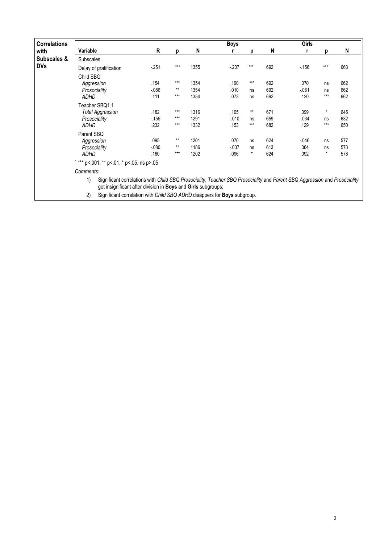| <b>Correlations</b> |                                                                                                                                                                                                  |        |                 |      | <b>Boys</b> |         |     | Girls    |          |     |  |  |  |
|---------------------|--------------------------------------------------------------------------------------------------------------------------------------------------------------------------------------------------|--------|-----------------|------|-------------|---------|-----|----------|----------|-----|--|--|--|
| with                | Variable                                                                                                                                                                                         | R      | D               | N    |             | D       | N   |          | D        | N   |  |  |  |
| Subscales &         | <b>Subscales</b>                                                                                                                                                                                 |        |                 |      |             |         |     |          |          |     |  |  |  |
| <b>DVs</b>          | Delay of gratification                                                                                                                                                                           | $-251$ | $***$           | 1355 | $-207$      | ***     | 692 | $-156$   | ***      | 663 |  |  |  |
|                     | Child SBQ                                                                                                                                                                                        |        |                 |      |             |         |     |          |          |     |  |  |  |
|                     | Aggression                                                                                                                                                                                       | .154   | $***$           | 1354 | .190        | $***$   | 692 | .070     | ns       | 662 |  |  |  |
|                     | Prosociality                                                                                                                                                                                     | $-086$ | $**$            | 1354 | .010        | ns      | 692 | $-061$   | ns       | 662 |  |  |  |
|                     | ADHD                                                                                                                                                                                             | .111   | $***$           | 1354 | .073        | ns      | 692 | .120     | $***$    | 662 |  |  |  |
|                     | Teacher SBQ1.1                                                                                                                                                                                   |        |                 |      |             |         |     |          |          |     |  |  |  |
|                     | <b>Total Aggression</b>                                                                                                                                                                          | .182   | $***$           | 1316 | .105        | $**$    | 671 | .099     | $^\star$ | 645 |  |  |  |
|                     | Prosociality                                                                                                                                                                                     | $-155$ | $***$           | 1291 | $-0.010$    | ns      | 659 | $-0.034$ | ns       | 632 |  |  |  |
|                     | ADHD                                                                                                                                                                                             | .232   | $***$           | 1332 | .153        | ***     | 682 | .129     | $***$    | 650 |  |  |  |
|                     | Parent SBQ                                                                                                                                                                                       |        |                 |      |             |         |     |          |          |     |  |  |  |
|                     | Aggression                                                                                                                                                                                       | .095   | $^{\star\star}$ | 1201 | .070        | ns      | 624 | $-0.046$ | ns       | 577 |  |  |  |
|                     | Prosociality                                                                                                                                                                                     | $-080$ | $**$            | 1186 | $-0.037$    | ns      | 613 | .064     | ns       | 573 |  |  |  |
|                     | <b>ADHD</b>                                                                                                                                                                                      | .160   | $***$           | 1202 | .096        | $\star$ | 624 | .092     | $\star$  | 578 |  |  |  |
|                     | $1***$ p<.001, ** p<.01, * p<.05, ns p>.05                                                                                                                                                       |        |                 |      |             |         |     |          |          |     |  |  |  |
|                     | Comments:                                                                                                                                                                                        |        |                 |      |             |         |     |          |          |     |  |  |  |
|                     | 1)<br>Significant correlations with Child SBQ Prosociality, Teacher SBQ Prosociality and Parent SBQ Aggression and Prosociality<br>get insignificant after division in Boys and Girls subgroups; |        |                 |      |             |         |     |          |          |     |  |  |  |
|                     | 2)<br>Significant correlation with Child SBQ ADHD disappers for <b>Boys</b> subgroup.                                                                                                            |        |                 |      |             |         |     |          |          |     |  |  |  |